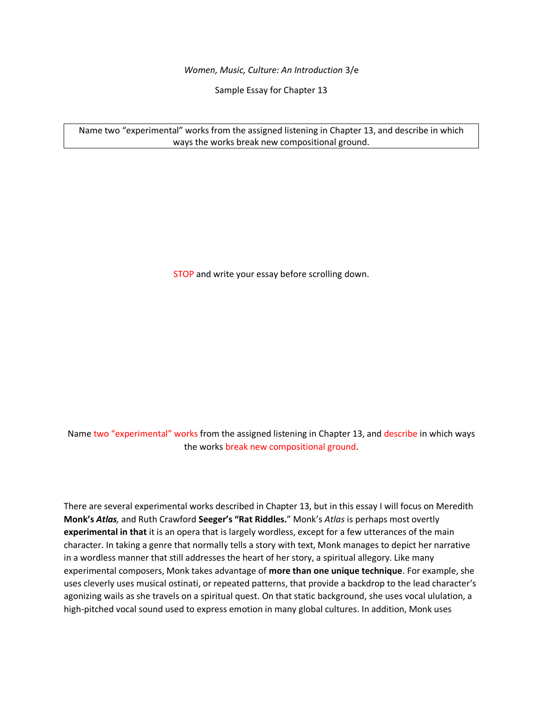*Women, Music, Culture: An Introduction* 3/e

Sample Essay for Chapter 13

Name two "experimental" works from the assigned listening in Chapter 13, and describe in which ways the works break new compositional ground.

STOP and write your essay before scrolling down.

Name two "experimental" works from the assigned listening in Chapter 13, and describe in which ways the works break new compositional ground.

There are several experimental works described in Chapter 13, but in this essay I will focus on Meredith **Monk's** *Atlas,* and Ruth Crawford **Seeger's "Rat Riddles.**" Monk's *Atlas* is perhaps most overtly **experimental in that** it is an opera that is largely wordless, except for a few utterances of the main character. In taking a genre that normally tells a story with text, Monk manages to depict her narrative in a wordless manner that still addresses the heart of her story, a spiritual allegory. Like many experimental composers, Monk takes advantage of **more than one unique technique**. For example, she uses cleverly uses musical ostinati, or repeated patterns, that provide a backdrop to the lead character's agonizing wails as she travels on a spiritual quest. On that static background, she uses vocal ululation, a high-pitched vocal sound used to express emotion in many global cultures. In addition, Monk uses